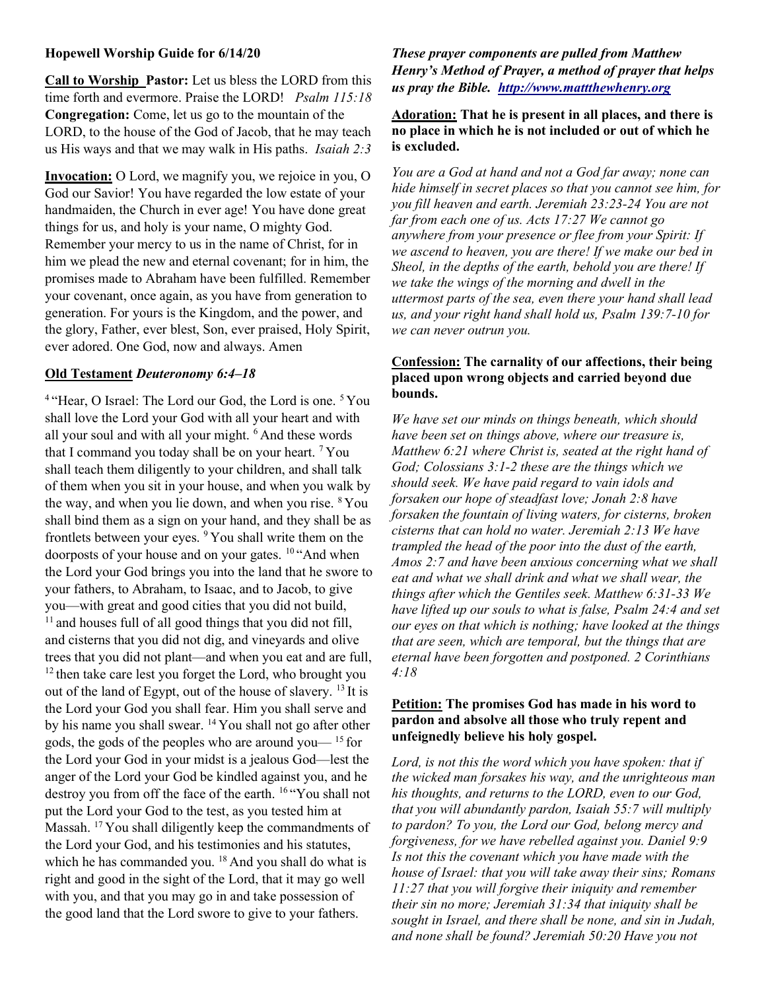## Hopewell Worship Guide for 6/14/20

Call to Worship Pastor: Let us bless the LORD from this time forth and evermore. Praise the LORD! Psalm 115:18 Congregation: Come, let us go to the mountain of the LORD, to the house of the God of Jacob, that he may teach us His ways and that we may walk in His paths. Isaiah 2:3

Invocation: O Lord, we magnify you, we rejoice in you, O God our Savior! You have regarded the low estate of your handmaiden, the Church in ever age! You have done great things for us, and holy is your name, O mighty God. Remember your mercy to us in the name of Christ, for in him we plead the new and eternal covenant; for in him, the promises made to Abraham have been fulfilled. Remember your covenant, once again, as you have from generation to generation. For yours is the Kingdom, and the power, and the glory, Father, ever blest, Son, ever praised, Holy Spirit, ever adored. One God, now and always. Amen

#### Old Testament Deuteronomy 6:4–18

<sup>4</sup> "Hear, O Israel: The Lord our God, the Lord is one. <sup>5</sup> You shall love the Lord your God with all your heart and with all your soul and with all your might. <sup>6</sup> And these words that I command you today shall be on your heart. <sup>7</sup>You shall teach them diligently to your children, and shall talk of them when you sit in your house, and when you walk by the way, and when you lie down, and when you rise.  $8$  You shall bind them as a sign on your hand, and they shall be as frontlets between your eyes. <sup>9</sup>You shall write them on the doorposts of your house and on your gates. <sup>10</sup> "And when the Lord your God brings you into the land that he swore to your fathers, to Abraham, to Isaac, and to Jacob, to give you—with great and good cities that you did not build,  $11$  and houses full of all good things that you did not fill, and cisterns that you did not dig, and vineyards and olive trees that you did not plant—and when you eat and are full, <sup>12</sup> then take care lest you forget the Lord, who brought you out of the land of Egypt, out of the house of slavery. <sup>13</sup> It is the Lord your God you shall fear. Him you shall serve and by his name you shall swear. <sup>14</sup> You shall not go after other gods, the gods of the peoples who are around you  $\frac{15}{15}$  for the Lord your God in your midst is a jealous God—lest the anger of the Lord your God be kindled against you, and he destroy you from off the face of the earth. <sup>16</sup>"You shall not put the Lord your God to the test, as you tested him at Massah. <sup>17</sup> You shall diligently keep the commandments of the Lord your God, and his testimonies and his statutes, which he has commanded you.  $18$  And you shall do what is right and good in the sight of the Lord, that it may go well with you, and that you may go in and take possession of the good land that the Lord swore to give to your fathers.

These prayer components are pulled from Matthew Henry's Method of Prayer, a method of prayer that helps us pray the Bible. http://www.mattthewhenry.org

# Adoration: That he is present in all places, and there is no place in which he is not included or out of which he is excluded.

You are a God at hand and not a God far away; none can hide himself in secret places so that you cannot see him, for you fill heaven and earth. Jeremiah 23:23-24 You are not far from each one of us. Acts 17:27 We cannot go anywhere from your presence or flee from your Spirit: If we ascend to heaven, you are there! If we make our bed in Sheol, in the depths of the earth, behold you are there! If we take the wings of the morning and dwell in the uttermost parts of the sea, even there your hand shall lead us, and your right hand shall hold us, Psalm 139:7-10 for we can never outrun you.

## Confession: The carnality of our affections, their being placed upon wrong objects and carried beyond due bounds.

We have set our minds on things beneath, which should have been set on things above, where our treasure is, Matthew 6:21 where Christ is, seated at the right hand of God; Colossians 3:1-2 these are the things which we should seek. We have paid regard to vain idols and forsaken our hope of steadfast love; Jonah 2:8 have forsaken the fountain of living waters, for cisterns, broken cisterns that can hold no water. Jeremiah 2:13 We have trampled the head of the poor into the dust of the earth, Amos 2:7 and have been anxious concerning what we shall eat and what we shall drink and what we shall wear, the things after which the Gentiles seek. Matthew 6:31-33 We have lifted up our souls to what is false, Psalm 24:4 and set our eyes on that which is nothing; have looked at the things that are seen, which are temporal, but the things that are eternal have been forgotten and postponed. 2 Corinthians 4:18

## Petition: The promises God has made in his word to pardon and absolve all those who truly repent and unfeignedly believe his holy gospel.

Lord, is not this the word which you have spoken: that if the wicked man forsakes his way, and the unrighteous man his thoughts, and returns to the LORD, even to our God, that you will abundantly pardon, Isaiah 55:7 will multiply to pardon? To you, the Lord our God, belong mercy and forgiveness, for we have rebelled against you. Daniel 9:9 Is not this the covenant which you have made with the house of Israel: that you will take away their sins; Romans 11:27 that you will forgive their iniquity and remember their sin no more; Jeremiah 31:34 that iniquity shall be sought in Israel, and there shall be none, and sin in Judah, and none shall be found? Jeremiah 50:20 Have you not